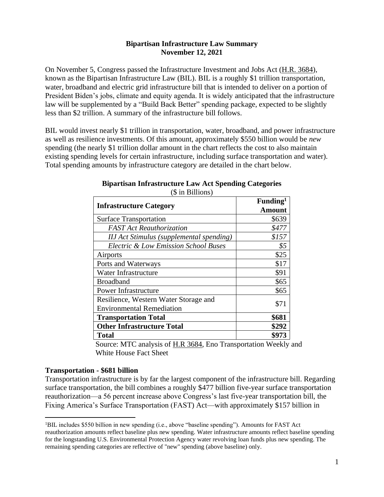#### **Bipartisan Infrastructure Law Summary November 12, 2021**

On November 5, Congress passed the Infrastructure Investment and Jobs Act [\(H.R. 3684\)](https://www.congress.gov/bill/117th-congress/house-bill/3684/text), known as the Bipartisan Infrastructure Law (BIL). BIL is a roughly \$1 trillion transportation, water, broadband and electric grid infrastructure bill that is intended to deliver on a portion of President Biden's jobs, climate and equity agenda. It is widely anticipated that the infrastructure law will be supplemented by a "Build Back Better" spending package, expected to be slightly less than \$2 trillion. A summary of the infrastructure bill follows.

BIL would invest nearly \$1 trillion in transportation, water, broadband, and power infrastructure as well as resilience investments. Of this amount, approximately \$550 billion would be *new*  spending (the nearly \$1 trillion dollar amount in the chart reflects the cost to also maintain existing spending levels for certain infrastructure, including surface transportation and water). Total spending amounts by infrastructure category are detailed in the chart below.

| <b>Infrastructure Category</b>                  | Funding <sup>1</sup><br>Amount |
|-------------------------------------------------|--------------------------------|
| <b>Surface Transportation</b>                   | \$639                          |
| <b>FAST</b> Act Reauthorization                 | \$477                          |
| <b>IIJ</b> Act Stimulus (supplemental spending) | \$157                          |
| <b>Electric &amp; Low Emission School Buses</b> | $\$5$                          |
| Airports                                        | \$25                           |
| Ports and Waterways                             | \$17                           |
| Water Infrastructure                            | \$91                           |
| <b>Broadband</b>                                | \$65                           |
| <b>Power Infrastructure</b>                     | \$65                           |
| Resilience, Western Water Storage and           | \$71                           |
| <b>Environmental Remediation</b>                |                                |
| <b>Transportation Total</b>                     | \$681                          |
| <b>Other Infrastructure Total</b>               | \$292                          |
| <b>Total</b>                                    | \$973                          |

#### **Bipartisan Infrastructure Law Act Spending Categories** (\$ in Billions)

Source: MTC analysis of [H.R 3684,](https://www.congress.gov/bill/117th-congress/house-bill/3684/text) Eno Transportation Weekly and White House Fact Sheet

# **Transportation - \$681 billion**

Transportation infrastructure is by far the largest component of the infrastructure bill. Regarding surface transportation, the bill combines a roughly \$477 billion five-year surface transportation reauthorization—a 56 percent increase above Congress's last five-year transportation bill, the Fixing America's Surface Transportation (FAST) Act—with approximately \$157 billion in

<sup>&</sup>lt;sup>1</sup>BIL includes \$550 billion in new spending (i.e., above "baseline spending"). Amounts for FAST Act reauthorization amounts reflect baseline plus new spending. Water infrastructure amounts reflect baseline spending for the longstanding U.S. Environmental Protection Agency water revolving loan funds plus new spending. The remaining spending categories are reflective of "new" spending (above baseline) only.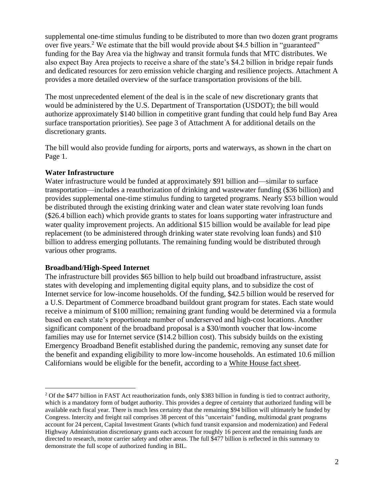supplemental one-time stimulus funding to be distributed to more than two dozen grant programs over five years.<sup>2</sup> We estimate that the bill would provide about \$4.5 billion in "guaranteed" funding for the Bay Area via the highway and transit formula funds that MTC distributes. We also expect Bay Area projects to receive a share of the state's \$4.2 billion in bridge repair funds and dedicated resources for zero emission vehicle charging and resilience projects. Attachment A provides a more detailed overview of the surface transportation provisions of the bill.

The most unprecedented element of the deal is in the scale of new discretionary grants that would be administered by the U.S. Department of Transportation (USDOT); the bill would authorize approximately \$140 billion in competitive grant funding that could help fund Bay Area surface transportation priorities). See page 3 of Attachment A for additional details on the discretionary grants.

The bill would also provide funding for airports, ports and waterways, as shown in the chart on Page 1.

# **Water Infrastructure**

Water infrastructure would be funded at approximately \$91 billion and—similar to surface transportation—includes a reauthorization of drinking and wastewater funding (\$36 billion) and provides supplemental one-time stimulus funding to targeted programs. Nearly \$53 billion would be distributed through the existing drinking water and clean water state revolving loan funds (\$26.4 billion each) which provide grants to states for loans supporting water infrastructure and water quality improvement projects. An additional \$15 billion would be available for lead pipe replacement (to be administered through drinking water state revolving loan funds) and \$10 billion to address emerging pollutants. The remaining funding would be distributed through various other programs.

# **Broadband/High-Speed Internet**

The infrastructure bill provides \$65 billion to help build out broadband infrastructure, assist states with developing and implementing digital equity plans, and to subsidize the cost of Internet service for low-income households. Of the funding, \$42.5 billion would be reserved for a U.S. Department of Commerce broadband buildout grant program for states. Each state would receive a minimum of \$100 million; remaining grant funding would be determined via a formula based on each state's proportionate number of underserved and high-cost locations. Another significant component of the broadband proposal is a \$30/month voucher that low-income families may use for Internet service (\$14.2 billion cost). This subsidy builds on the existing Emergency Broadband Benefit established during the pandemic, removing any sunset date for the benefit and expanding eligibility to more low-income households. An estimated 10.6 million Californians would be eligible for the benefit, according to a [White House fact sheet.](https://www.whitehouse.gov/wp-content/uploads/2021/08/CALIFORNIA_The-Infrastructure-Investment-and-Jobs-Act-State-Fact-Sheet.pdf)

<sup>2</sup> Of the \$477 billion in FAST Act reauthorization funds, only \$383 billion in funding is tied to contract authority, which is a mandatory form of budget authority. This provides a degree of certainty that authorized funding will be available each fiscal year. There is much less certainty that the remaining \$94 billion will ultimately be funded by Congress. Intercity and freight rail comprises 38 percent of this "uncertain" funding, multimodal grant programs account for 24 percent, Capital Investment Grants (which fund transit expansion and modernization) and Federal Highway Administration discretionary grants each account for roughly 16 percent and the remaining funds are directed to research, motor carrier safety and other areas. The full \$477 billion is reflected in this summary to demonstrate the full scope of authorized funding in BIL.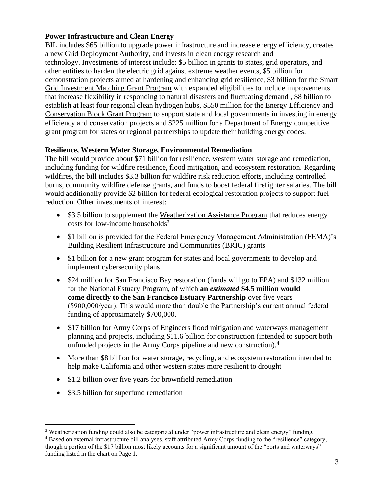# **Power Infrastructure and Clean Energy**

BIL includes \$65 billion to upgrade power infrastructure and increase energy efficiency, creates a new Grid Deployment Authority, and invests in clean energy research and technology. Investments of interest include: \$5 billion in grants to states, grid operators, and other entities to harden the electric grid against extreme weather events, \$5 billion for demonstration projects aimed at hardening and enhancing grid resilience, \$3 billion for the [Smart](https://www.energy.gov/oe/information-center/recovery-act-smart-grid-investment-grant-sgig-program)  [Grid Investment Matching Grant Program](https://www.energy.gov/oe/information-center/recovery-act-smart-grid-investment-grant-sgig-program) with expanded eligibilities to include improvements that increase flexibility in responding to natural disasters and fluctuating demand , \$8 billion to establish at least four regional clean hydrogen hubs, \$550 million for the Energy [Efficiency and](https://www.energy.gov/eere/wipo/energy-efficiency-and-conservation-block-grant-program)  [Conservation Block Grant Program](https://www.energy.gov/eere/wipo/energy-efficiency-and-conservation-block-grant-program) to support state and local governments in investing in energy efficiency and conservation projects and \$225 million for a Department of Energy competitive grant program for states or regional partnerships to update their building energy codes.

# **Resilience, Western Water Storage, Environmental Remediation**

The bill would provide about \$71 billion for resilience, western water storage and remediation, including funding for wildfire resilience, flood mitigation, and ecosystem restoration. Regarding wildfires, the bill includes \$3.3 billion for wildfire risk reduction efforts, including controlled burns, community wildfire defense grants, and funds to boost federal firefighter salaries. The bill would additionally provide \$2 billion for federal ecological restoration projects to support fuel reduction. Other investments of interest:

- \$3.5 billion to supplement the [Weatherization Assistance Program](https://www.energy.gov/eere/wap/weatherization-assistance-program) that reduces energy costs for low-income households $3$
- \$1 billion is provided for the Federal Emergency Management Administration (FEMA)'s Building Resilient Infrastructure and Communities (BRIC) grants
- \$1 billion for a new grant program for states and local governments to develop and implement cybersecurity plans
- \$24 million for San Francisco Bay restoration (funds will go to EPA) and \$132 million for the National Estuary Program, of which **an** *estimated* **\$4.5 million would come directly to the San Francisco Estuary Partnership** over five years (\$900,000/year). This would more than double the Partnership's current annual federal funding of approximately \$700,000.
- \$17 billion for Army Corps of Engineers flood mitigation and waterways management planning and projects, including \$11.6 billion for construction (intended to support both unfunded projects in the Army Corps pipeline and new construction).<sup>4</sup>
- More than \$8 billion for water storage, recycling, and ecosystem restoration intended to help make California and other western states more resilient to drought
- \$1.2 billion over five years for brownfield remediation
- \$3.5 billion for superfund remediation

<sup>&</sup>lt;sup>3</sup> Weatherization funding could also be categorized under "power infrastructure and clean energy" funding.

<sup>4</sup> Based on external infrastructure bill analyses, staff attributed Army Corps funding to the "resilience" category, though a portion of the \$17 billion most likely accounts for a significant amount of the "ports and waterways" funding listed in the chart on Page 1.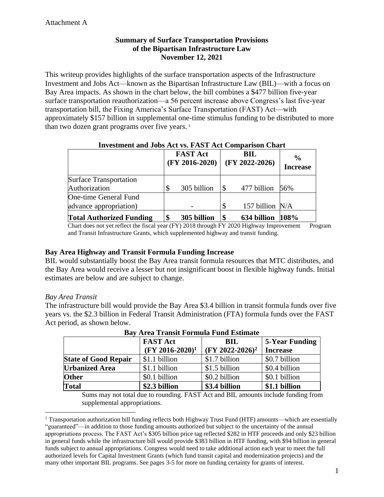# **Summary of Surface Transportation Provisions of the Bipartisan Infrastructure Law November 12, 2021**

This writeup provides highlights of the surface transportation aspects of the Infrastructure Investment and Jobs Act—known as the Bipartisan Infrastructure Law (BIL)—with a focus on Bay Area impacts. As shown in the chart below, the bill combines a \$477 billion five-year surface transportation reauthorization—a 56 percent increase above Congress's last five-year transportation bill, the Fixing America's Surface Transportation (FAST) Act—with approximately \$157 billion in supplemental one-time stimulus funding to be distributed to more than two dozen grant programs over five years.<sup>1</sup>

#### **Investment and Jobs Act vs. FAST Act Comparison Chart**

|                                 | <b>FAST Act</b><br>$(FY 2016-2020)$ | <b>BIL</b><br>$(FY 2022-2026)$ | $\frac{6}{9}$<br><b>Increase</b> |
|---------------------------------|-------------------------------------|--------------------------------|----------------------------------|
| <b>Surface Transportation</b>   |                                     |                                |                                  |
| Authorization                   | 305 billion                         | 477 billion                    | 56%                              |
| <b>One-time General Fund</b>    |                                     |                                |                                  |
| advance appropriation)          |                                     | 157 billion N/A                |                                  |
| <b>Total Authorized Funding</b> | 305 billion                         | 634 billion                    | 108%                             |

Chart does not yet reflect the fiscal year (FY) 2018 through FY 2020 Highway Improvement Program and Transit Infrastructure Grants, which supplemented highway and transit funding.

# **Bay Area Highway and Transit Formula Funding Increase**

BIL would substantially boost the Bay Area transit formula resources that MTC distributes, and the Bay Area would receive a lesser but not insignificant boost in flexible highway funds. Initial estimates are below and are subject to change.

#### *Bay Area Transit*

The infrastructure bill would provide the Bay Area \$3.4 billion in transit formula funds over five years vs. the \$2.3 billion in Federal Transit Administration (FTA) formula funds over the FAST Act period, as shown below.

|                             | <b>FAST Act</b>    | <b>BIL</b>                  | <b>5-Year Funding</b> |  |  |  |  |
|-----------------------------|--------------------|-----------------------------|-----------------------|--|--|--|--|
|                             | $(FY 2016-2020)^1$ | (FY 2022-2026) <sup>2</sup> | <b>Increase</b>       |  |  |  |  |
| <b>State of Good Repair</b> | \$1.1 billion      | \$1.7 billion               | \$0.7 billion         |  |  |  |  |
| <b>Urbanized Area</b>       | \$1.1 billion      | \$1.5 billion               | \$0.4 billion         |  |  |  |  |
| <b>Other</b>                | \$0.1 billion      | \$0.2 billion               | \$0.1 billion         |  |  |  |  |
| <b>Total</b>                | \$2.3 billion      | \$3.4 billion               | \$1.1 billion         |  |  |  |  |

**Bay Area Transit Formula Fund Estimate**

Sums may not total due to rounding. FAST Act and BIL amounts include funding from supplemental appropriations.

<sup>1</sup> Transportation authorization bill funding reflects both Highway Trust Fund (HTF) amounts—which are essentially "guaranteed"—in addition to those funding amounts authorized but subject to the uncertainty of the annual appropriations process. The FAST Act's \$305 billion price tag reflected \$282 in HTF proceeds and only \$23 billion in general funds while the infrastructure bill would provide \$383 billion in HTF funding, with \$94 billion in general funds subject to annual appropriations. Congress would need to take additional action each year to meet the full authorized levels for Capital Investment Grants (which fund transit capital and modernization projects) and the many other important BIL programs. See pages 3-5 for more on funding certainty for grants of interest.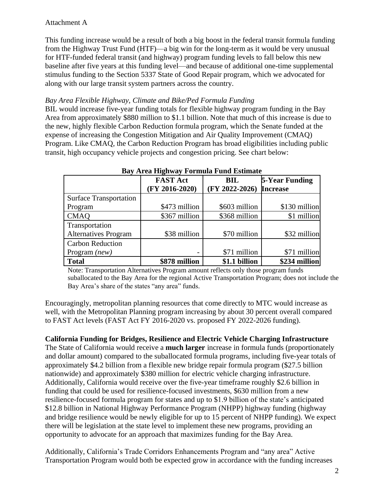# Attachment A

This funding increase would be a result of both a big boost in the federal transit formula funding from the Highway Trust Fund (HTF)—a big win for the long-term as it would be very unusual for HTF-funded federal transit (and highway) program funding levels to fall below this new baseline after five years at this funding level—and because of additional one-time supplemental stimulus funding to the Section 5337 State of Good Repair program, which we advocated for along with our large transit system partners across the country.

### *Bay Area Flexible Highway, Climate and Bike/Ped Formula Funding*

BIL would increase five-year funding totals for flexible highway program funding in the Bay Area from approximately \$880 million to \$1.1 billion. Note that much of this increase is due to the new, highly flexible Carbon Reduction formula program, which the Senate funded at the expense of increasing the Congestion Mitigation and Air Quality Improvement (CMAQ) Program. Like CMAQ, the Carbon Reduction Program has broad eligibilities including public transit, high occupancy vehicle projects and congestion pricing. See chart below:

|                               | <b>FAST Act</b>  | <b>BIL</b>       | <b>5-Year Funding</b> |  |  |  |  |
|-------------------------------|------------------|------------------|-----------------------|--|--|--|--|
|                               | $(FY 2016-2020)$ | $(FY 2022-2026)$ | <b>Increase</b>       |  |  |  |  |
| <b>Surface Transportation</b> |                  |                  |                       |  |  |  |  |
| Program                       | \$473 million    | \$603 million    | \$130 million         |  |  |  |  |
| <b>CMAQ</b>                   | \$367 million    | \$368 million    | \$1 million           |  |  |  |  |
| Transportation                |                  |                  |                       |  |  |  |  |
| <b>Alternatives Program</b>   | \$38 million     | \$70 million     | \$32 million          |  |  |  |  |
| <b>Carbon Reduction</b>       |                  |                  |                       |  |  |  |  |
| Program $(new)$               |                  | \$71 million     | \$71 million          |  |  |  |  |
| <b>Total</b>                  | \$878 million    | \$1.1 billion    | \$234 million         |  |  |  |  |

#### **Bay Area Highway Formula Fund Estimate**

Note: Transportation Alternatives Program amount reflects only those program funds suballocated to the Bay Area for the regional Active Transportation Program; does not include the Bay Area's share of the states "any area" funds.

Encouragingly, metropolitan planning resources that come directly to MTC would increase as well, with the Metropolitan Planning program increasing by about 30 percent overall compared to FAST Act levels (FAST Act FY 2016-2020 vs. proposed FY 2022-2026 funding).

# **California Funding for Bridges, Resilience and Electric Vehicle Charging Infrastructure**

The State of California would receive a **much larger** increase in formula funds (proportionately and dollar amount) compared to the suballocated formula programs, including five-year totals of approximately \$4.2 billion from a flexible new bridge repair formula program (\$27.5 billion nationwide) and approximately \$380 million for electric vehicle charging infrastructure. Additionally, California would receive over the five-year timeframe roughly \$2.6 billion in funding that could be used for resilience-focused investments, \$630 million from a new resilience-focused formula program for states and up to \$1.9 billion of the state's anticipated \$12.8 billion in National Highway Performance Program (NHPP) highway funding (highway and bridge resilience would be newly eligible for up to 15 percent of NHPP funding). We expect there will be legislation at the state level to implement these new programs, providing an opportunity to advocate for an approach that maximizes funding for the Bay Area.

Additionally, California's Trade Corridors Enhancements Program and "any area" Active Transportation Program would both be expected grow in accordance with the funding increases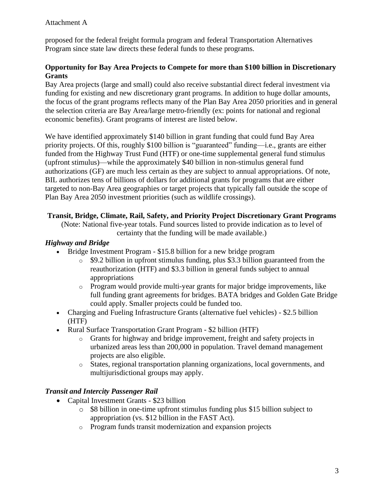proposed for the federal freight formula program and federal Transportation Alternatives Program since state law directs these federal funds to these programs.

# **Opportunity for Bay Area Projects to Compete for more than \$100 billion in Discretionary Grants**

Bay Area projects (large and small) could also receive substantial direct federal investment via funding for existing and new discretionary grant programs. In addition to huge dollar amounts, the focus of the grant programs reflects many of the Plan Bay Area 2050 priorities and in general the selection criteria are Bay Area/large metro-friendly (ex: points for national and regional economic benefits). Grant programs of interest are listed below.

We have identified approximately \$140 billion in grant funding that could fund Bay Area priority projects. Of this, roughly \$100 billion is "guaranteed" funding—i.e., grants are either funded from the Highway Trust Fund (HTF) or one-time supplemental general fund stimulus (upfront stimulus)—while the approximately \$40 billion in non-stimulus general fund authorizations (GF) are much less certain as they are subject to annual appropriations. Of note, BIL authorizes tens of billions of dollars for additional grants for programs that are either targeted to non-Bay Area geographies or target projects that typically fall outside the scope of Plan Bay Area 2050 investment priorities (such as wildlife crossings).

# **Transit, Bridge, Climate, Rail, Safety, and Priority Project Discretionary Grant Programs**

(Note: National five-year totals. Fund sources listed to provide indication as to level of certainty that the funding will be made available.)

# *Highway and Bridge*

- Bridge Investment Program \$15.8 billion for a new bridge program
	- o \$9.2 billion in upfront stimulus funding, plus \$3.3 billion guaranteed from the reauthorization (HTF) and \$3.3 billion in general funds subject to annual appropriations
	- o Program would provide multi-year grants for major bridge improvements, like full funding grant agreements for bridges. BATA bridges and Golden Gate Bridge could apply. Smaller projects could be funded too.
- Charging and Fueling Infrastructure Grants (alternative fuel vehicles) \$2.5 billion (HTF)
- Rural Surface Transportation Grant Program \$2 billion (HTF)
	- o Grants for highway and bridge improvement, freight and safety projects in urbanized areas less than 200,000 in population. Travel demand management projects are also eligible.
	- o States, regional transportation planning organizations, local governments, and multijurisdictional groups may apply.

# *Transit and Intercity Passenger Rail*

- Capital Investment Grants \$23 billion
	- o \$8 billion in one-time upfront stimulus funding plus \$15 billion subject to appropriation (vs. \$12 billion in the FAST Act).
	- o Program funds transit modernization and expansion projects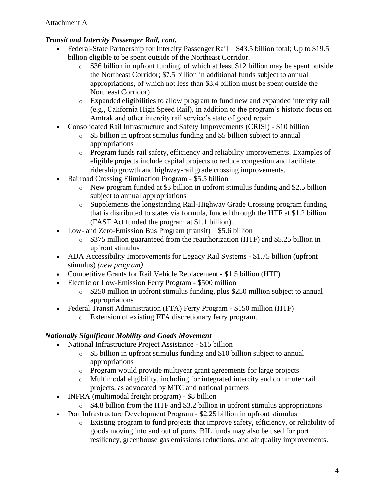# *Transit and Intercity Passenger Rail, cont.*

- Federal-State Partnership for Intercity Passenger Rail \$43.5 billion total; Up to \$19.5 billion eligible to be spent outside of the Northeast Corridor.
	- o \$36 billion in upfront funding, of which at least \$12 billion may be spent outside the Northeast Corridor; \$7.5 billion in additional funds subject to annual appropriations, of which not less than \$3.4 billion must be spent outside the Northeast Corridor)
	- o Expanded eligibilities to allow program to fund new and expanded intercity rail (e.g., California High Speed Rail), in addition to the program's historic focus on Amtrak and other intercity rail service's state of good repair
- Consolidated Rail Infrastructure and Safety Improvements (CRISI) \$10 billion
	- o \$5 billion in upfront stimulus funding and \$5 billion subject to annual appropriations
	- o Program funds rail safety, efficiency and reliability improvements. Examples of eligible projects include capital projects to reduce congestion and facilitate ridership growth and highway-rail grade crossing improvements.
- Railroad Crossing Elimination Program \$5.5 billion
	- o New program funded at \$3 billion in upfront stimulus funding and \$2.5 billion subject to annual appropriations
	- o Supplements the longstanding Rail-Highway Grade Crossing program funding that is distributed to states via formula, funded through the HTF at \$1.2 billion (FAST Act funded the program at \$1.1 billion).
- Low- and Zero-Emission Bus Program (transit) \$5.6 billion
	- o \$375 million guaranteed from the reauthorization (HTF) and \$5.25 billion in upfront stimulus
- ADA Accessibility Improvements for Legacy Rail Systems \$1.75 billion (upfront stimulus) *(new program)*
- Competitive Grants for Rail Vehicle Replacement \$1.5 billion (HTF)
- Electric or Low-Emission Ferry Program \$500 million
	- o \$250 million in upfront stimulus funding, plus \$250 million subject to annual appropriations
- Federal Transit Administration (FTA) Ferry Program \$150 million (HTF)
	- o Extension of existing FTA discretionary ferry program.

# *Nationally Significant Mobility and Goods Movement*

- National Infrastructure Project Assistance \$15 billion
	- o \$5 billion in upfront stimulus funding and \$10 billion subject to annual appropriations
	- o Program would provide multiyear grant agreements for large projects
	- o Multimodal eligibility, including for integrated intercity and commuter rail projects, as advocated by MTC and national partners
- INFRA (multimodal freight program) \$8 billion
	- $\circ$  \$4.8 billion from the HTF and \$3.2 billion in upfront stimulus appropriations
- Port Infrastructure Development Program \$2.25 billion in upfront stimulus
	- o Existing program to fund projects that improve safety, efficiency, or reliability of goods moving into and out of ports. BIL funds may also be used for port resiliency, greenhouse gas emissions reductions, and air quality improvements.